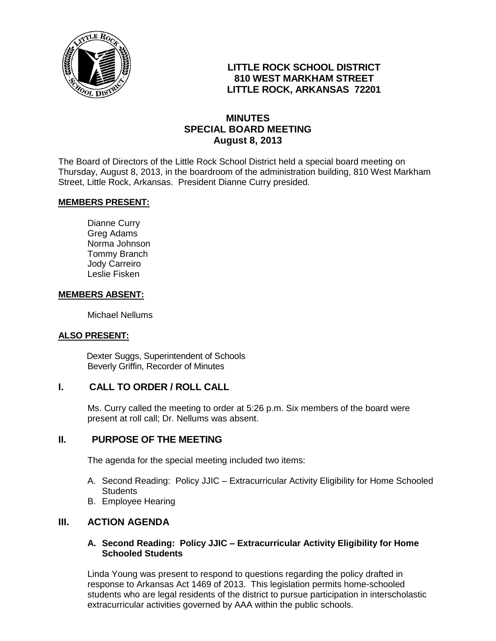

# **LITTLE ROCK SCHOOL DISTRICT 810 WEST MARKHAM STREET LITTLE ROCK, ARKANSAS 72201**

## **MINUTES SPECIAL BOARD MEETING August 8, 2013**

The Board of Directors of the Little Rock School District held a special board meeting on Thursday, August 8, 2013, in the boardroom of the administration building, 810 West Markham Street, Little Rock, Arkansas. President Dianne Curry presided.

### **MEMBERS PRESENT:**

Dianne Curry Greg Adams Norma Johnson Tommy Branch Jody Carreiro Leslie Fisken

#### **MEMBERS ABSENT:**

Michael Nellums

### **ALSO PRESENT:**

 Dexter Suggs, Superintendent of Schools Beverly Griffin, Recorder of Minutes

### **I. CALL TO ORDER / ROLL CALL**

Ms. Curry called the meeting to order at 5:26 p.m. Six members of the board were present at roll call; Dr. Nellums was absent.

### **II. PURPOSE OF THE MEETING**

The agenda for the special meeting included two items:

- A. Second Reading: Policy JJIC Extracurricular Activity Eligibility for Home Schooled **Students**
- B. Employee Hearing

### **III. ACTION AGENDA**

### **A. Second Reading: Policy JJIC – Extracurricular Activity Eligibility for Home Schooled Students**

Linda Young was present to respond to questions regarding the policy drafted in response to Arkansas Act 1469 of 2013. This legislation permits home-schooled students who are legal residents of the district to pursue participation in interscholastic extracurricular activities governed by AAA within the public schools.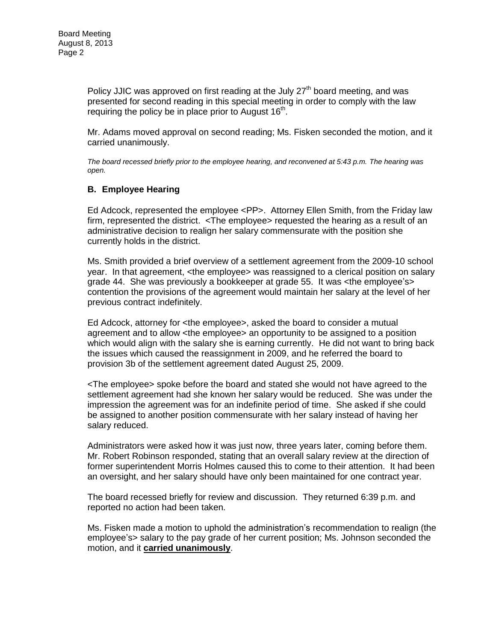Policy JJIC was approved on first reading at the July  $27<sup>th</sup>$  board meeting, and was presented for second reading in this special meeting in order to comply with the law requiring the policy be in place prior to August 16<sup>th</sup>.

Mr. Adams moved approval on second reading; Ms. Fisken seconded the motion, and it carried unanimously.

*The board recessed briefly prior to the employee hearing, and reconvened at 5:43 p.m. The hearing was open.* 

### **B. Employee Hearing**

Ed Adcock, represented the employee <PP>. Attorney Ellen Smith, from the Friday law firm, represented the district. <The employee> requested the hearing as a result of an administrative decision to realign her salary commensurate with the position she currently holds in the district.

Ms. Smith provided a brief overview of a settlement agreement from the 2009-10 school year. In that agreement, <the employee> was reassigned to a clerical position on salary grade 44. She was previously a bookkeeper at grade 55. It was <the employee's> contention the provisions of the agreement would maintain her salary at the level of her previous contract indefinitely.

Ed Adcock, attorney for <the employee>, asked the board to consider a mutual agreement and to allow <the employee> an opportunity to be assigned to a position which would align with the salary she is earning currently. He did not want to bring back the issues which caused the reassignment in 2009, and he referred the board to provision 3b of the settlement agreement dated August 25, 2009.

<The employee> spoke before the board and stated she would not have agreed to the settlement agreement had she known her salary would be reduced. She was under the impression the agreement was for an indefinite period of time. She asked if she could be assigned to another position commensurate with her salary instead of having her salary reduced.

Administrators were asked how it was just now, three years later, coming before them. Mr. Robert Robinson responded, stating that an overall salary review at the direction of former superintendent Morris Holmes caused this to come to their attention. It had been an oversight, and her salary should have only been maintained for one contract year.

The board recessed briefly for review and discussion. They returned 6:39 p.m. and reported no action had been taken.

Ms. Fisken made a motion to uphold the administration's recommendation to realign (the employee's> salary to the pay grade of her current position; Ms. Johnson seconded the motion, and it **carried unanimously**.